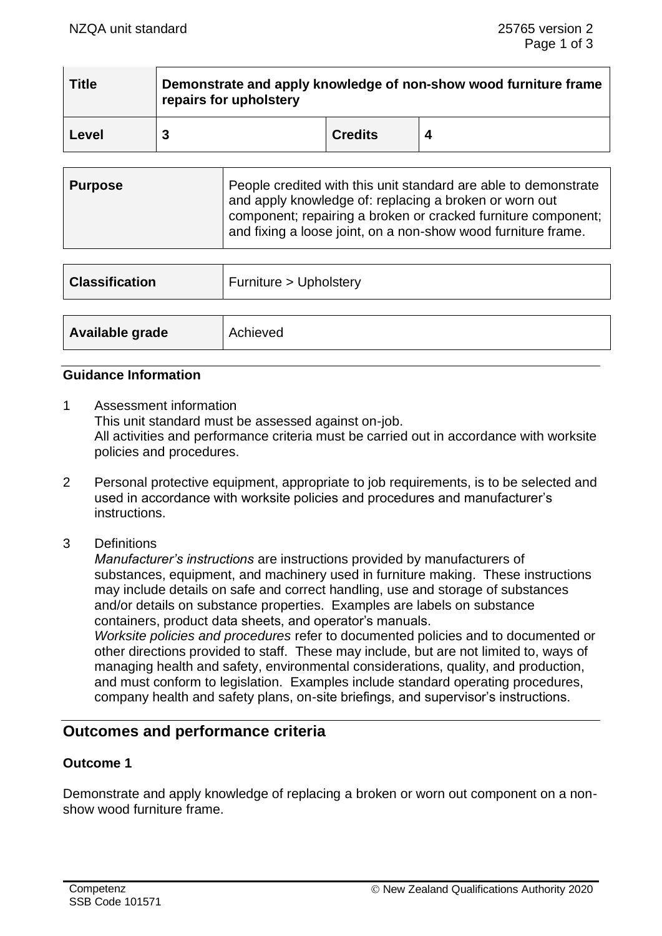| <b>Title</b> | Demonstrate and apply knowledge of non-show wood furniture frame<br>repairs for upholstery |                |  |
|--------------|--------------------------------------------------------------------------------------------|----------------|--|
| Level        |                                                                                            | <b>Credits</b> |  |

| ∣ Purpose | People credited with this unit standard are able to demonstrate<br>and apply knowledge of: replacing a broken or worn out<br>component; repairing a broken or cracked furniture component; |
|-----------|--------------------------------------------------------------------------------------------------------------------------------------------------------------------------------------------|
|           | and fixing a loose joint, on a non-show wood furniture frame.                                                                                                                              |

| <b>Classification</b> | Furniture > Upholstery |
|-----------------------|------------------------|
|                       |                        |
| Available grade       | Achieved               |

## **Guidance Information**

- 1 Assessment information This unit standard must be assessed against on-job. All activities and performance criteria must be carried out in accordance with worksite policies and procedures.
- 2 Personal protective equipment, appropriate to job requirements, is to be selected and used in accordance with worksite policies and procedures and manufacturer's instructions.
- 3 Definitions

*Manufacturer's instructions* are instructions provided by manufacturers of substances, equipment, and machinery used in furniture making. These instructions may include details on safe and correct handling, use and storage of substances and/or details on substance properties. Examples are labels on substance containers, product data sheets, and operator's manuals. *Worksite policies and procedures* refer to documented policies and to documented or other directions provided to staff. These may include, but are not limited to, ways of managing health and safety, environmental considerations, quality, and production, and must conform to legislation. Examples include standard operating procedures, company health and safety plans, on-site briefings, and supervisor's instructions.

# **Outcomes and performance criteria**

## **Outcome 1**

Demonstrate and apply knowledge of replacing a broken or worn out component on a nonshow wood furniture frame.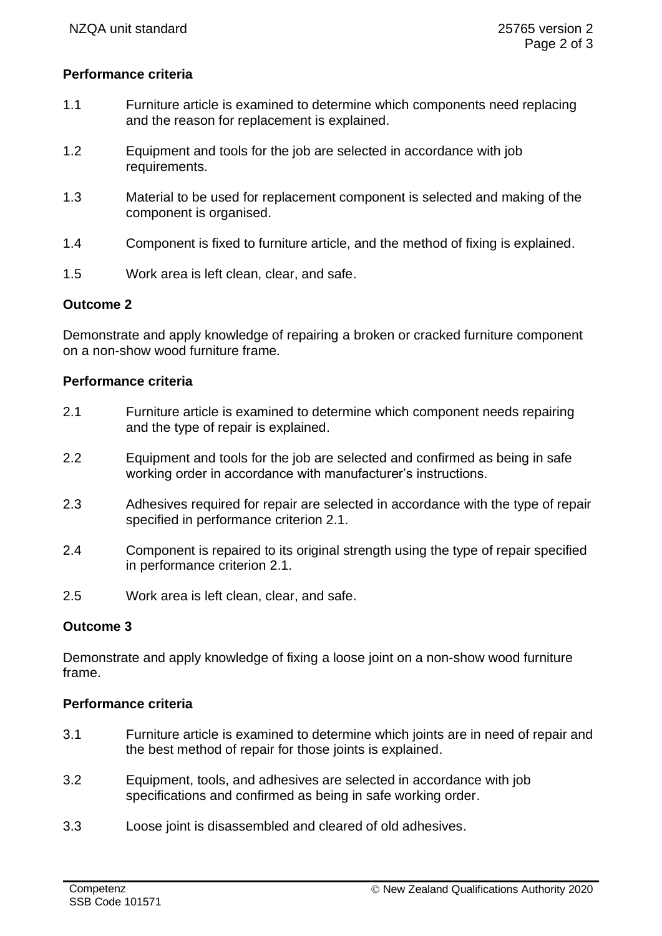## **Performance criteria**

- 1.1 Furniture article is examined to determine which components need replacing and the reason for replacement is explained.
- 1.2 Equipment and tools for the job are selected in accordance with job requirements.
- 1.3 Material to be used for replacement component is selected and making of the component is organised.
- 1.4 Component is fixed to furniture article, and the method of fixing is explained.
- 1.5 Work area is left clean, clear, and safe.

## **Outcome 2**

Demonstrate and apply knowledge of repairing a broken or cracked furniture component on a non-show wood furniture frame.

#### **Performance criteria**

- 2.1 Furniture article is examined to determine which component needs repairing and the type of repair is explained.
- 2.2 Equipment and tools for the job are selected and confirmed as being in safe working order in accordance with manufacturer's instructions.
- 2.3 Adhesives required for repair are selected in accordance with the type of repair specified in performance criterion 2.1.
- 2.4 Component is repaired to its original strength using the type of repair specified in performance criterion 2.1.
- 2.5 Work area is left clean, clear, and safe.

## **Outcome 3**

Demonstrate and apply knowledge of fixing a loose joint on a non-show wood furniture frame.

#### **Performance criteria**

- 3.1 Furniture article is examined to determine which joints are in need of repair and the best method of repair for those joints is explained.
- 3.2 Equipment, tools, and adhesives are selected in accordance with job specifications and confirmed as being in safe working order.
- 3.3 Loose joint is disassembled and cleared of old adhesives.